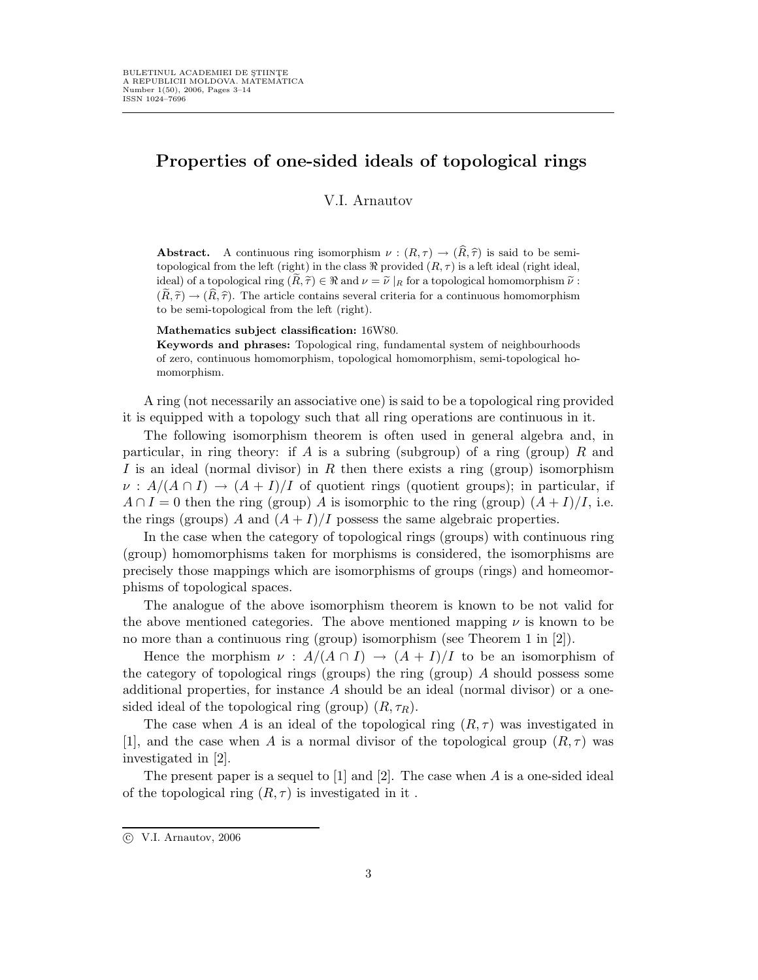# Properties of one-sided ideals of topological rings

V.I. Arnautov

**Abstract.** A continuous ring isomorphism  $\nu : (R, \tau) \to (\widehat{R}, \widehat{\tau})$  is said to be semitopological from the left (right) in the class  $\Re$  provided  $(R, \tau)$  is a left ideal (right ideal, ideal) of a topological ring  $(\tilde{R}, \tilde{\tau}) \in \Re$  and  $\nu = \tilde{\nu} |_{R}$  for a topological homomorphism  $\tilde{\nu}$ :  $(\tilde{R}, \tilde{\tau}) \to (\tilde{R}, \tilde{\tau})$ . The article contains several criteria for a continuous homomorphism to be semi-topological from the left (right).

#### Mathematics subject classification: 16W80.

Keywords and phrases: Topological ring, fundamental system of neighbourhoods of zero, continuous homomorphism, topological homomorphism, semi-topological homomorphism.

A ring (not necessarily an associative one) is said to be a topological ring provided it is equipped with a topology such that all ring operations are continuous in it.

The following isomorphism theorem is often used in general algebra and, in particular, in ring theory: if A is a subring (subgroup) of a ring (group) R and I is an ideal (normal divisor) in R then there exists a ring (group) isomorphism  $\nu : A/(A \cap I) \to (A + I)/I$  of quotient rings (quotient groups); in particular, if  $A \cap I = 0$  then the ring (group) A is isomorphic to the ring (group)  $(A + I)/I$ , i.e. the rings (groups) A and  $(A + I)/I$  possess the same algebraic properties.

In the case when the category of topological rings (groups) with continuous ring (group) homomorphisms taken for morphisms is considered, the isomorphisms are precisely those mappings which are isomorphisms of groups (rings) and homeomorphisms of topological spaces.

The analogue of the above isomorphism theorem is known to be not valid for the above mentioned categories. The above mentioned mapping  $\nu$  is known to be no more than a continuous ring (group) isomorphism (see Theorem 1 in [2]).

Hence the morphism  $\nu : A/(A \cap I) \to (A + I)/I$  to be an isomorphism of the category of topological rings (groups) the ring (group) A should possess some additional properties, for instance  $A$  should be an ideal (normal divisor) or a onesided ideal of the topological ring (group)  $(R, \tau_R)$ .

The case when A is an ideal of the topological ring  $(R, \tau)$  was investigated in [1], and the case when A is a normal divisor of the topological group  $(R, \tau)$  was investigated in [2].

The present paper is a sequel to  $[1]$  and  $[2]$ . The case when A is a one-sided ideal of the topological ring  $(R, \tau)$  is investigated in it.

 $\odot$  V.I. Arnautov, 2006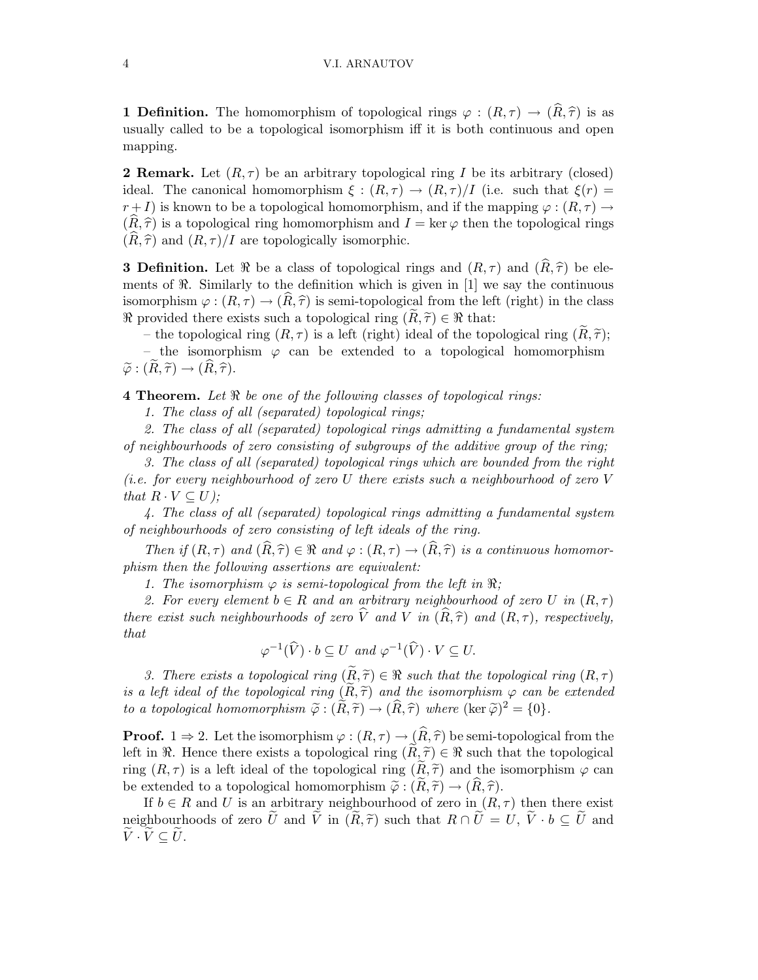#### 4 V.I. ARNAUTOV

**1 Definition.** The homomorphism of topological rings  $\varphi : (R, \tau) \to (\widehat{R}, \widehat{\tau})$  is as usually called to be a topological isomorphism iff it is both continuous and open mapping.

**2 Remark.** Let  $(R, \tau)$  be an arbitrary topological ring I be its arbitrary (closed) ideal. The canonical homomorphism  $\xi : (R, \tau) \to (R, \tau)/I$  (i.e. such that  $\xi(r) =$  $r+I$ ) is known to be a topological homomorphism, and if the mapping  $\varphi: (R,\tau) \to$  $(R, \hat{\tau})$  is a topological ring homomorphism and  $I = \ker \varphi$  then the topological rings  $(R, \hat{\tau})$  and  $(R, \tau)/I$  are topologically isomorphic.

**3 Definition.** Let  $\Re$  be a class of topological rings and  $(R, \tau)$  and  $(\widehat{R}, \widehat{\tau})$  be elements of  $\Re$ . Similarly to the definition which is given in [1] we say the continuous isomorphism  $\varphi: (R, \tau) \to (\hat{R}, \hat{\tau})$  is semi-topological from the left (right) in the class  $\Re$  provided there exists such a topological ring  $(R, \tilde{\tau}) \in \Re$  that:

– the topological ring  $(R, \tau)$  is a left (right) ideal of the topological ring  $(R, \tilde{\tau})$ ;

– the isomorphism  $\varphi$  can be extended to a topological homomorphism  $\widetilde{\varphi}: (\widetilde{R}, \widetilde{\tau}) \to (\widehat{R}, \widehat{\tau}).$ 

**4 Theorem.** Let  $\Re$  be one of the following classes of topological rings:

1. The class of all (separated) topological rings;

2. The class of all (separated) topological rings admitting a fundamental system of neighbourhoods of zero consisting of subgroups of the additive group of the ring;

3. The class of all (separated) topological rings which are bounded from the right (i.e. for every neighbourhood of zero U there exists such a neighbourhood of zero V that  $R \cdot V \subseteq U$ ;

4. The class of all (separated) topological rings admitting a fundamental system of neighbourhoods of zero consisting of left ideals of the ring.

Then if  $(R, \tau)$  and  $(\widehat{R}, \widehat{\tau}) \in \Re$  and  $\varphi : (R, \tau) \to (\widehat{R}, \widehat{\tau})$  is a continuous homomorphism then the following assertions are equivalent:

1. The isomorphism  $\varphi$  is semi-topological from the left in  $\Re$ ;

2. For every element  $b \in R$  and an arbitrary neighbourhood of zero U in  $(R, \tau)$ there exist such neighbourhoods of zero  $\hat{V}$  and V in  $(\widehat{R}, \widehat{\tau})$  and  $(R, \tau)$ , respectively, that

$$
\varphi^{-1}(\widehat{V}) \cdot b \subseteq U \text{ and } \varphi^{-1}(\widehat{V}) \cdot V \subseteq U.
$$

3. There exists a topological ring  $(\widetilde{R}, \widetilde{\tau}) \in \Re$  such that the topological ring  $(R, \tau)$ is a left ideal of the topological ring  $(R, \tilde{\tau})$  and the isomorphism  $\varphi$  can be extended to a topological homomorphism  $\tilde{\varphi} : (\tilde{R}, \tilde{\tau}) \to (\tilde{R}, \tilde{\tau})$  where  $(\ker \tilde{\varphi})^2 = \{0\}.$ 

**Proof.**  $1 \Rightarrow 2$ . Let the isomorphism  $\varphi : (R, \tau) \to (\widehat{R}, \widehat{\tau})$  be semi-topological from the left in  $\Re$ . Hence there exists a topological ring  $(R, \tilde{\tau}) \in \Re$  such that the topological ring  $(R, \tau)$  is a left ideal of the topological ring  $(R, \tilde{\tau})$  and the isomorphism  $\varphi$  can be extended to a topological homomorphism  $\tilde{\varphi}: (R, \tilde{\tau}) \to (R, \tilde{\tau}).$ 

If  $b \in R$  and U is an arbitrary neighbourhood of zero in  $(R, \tau)$  then there exist neighbourhoods of zero  $\tilde{U}$  and  $\tilde{V}$  in  $(\tilde{R}, \tilde{\tau})$  such that  $R \cap \tilde{U} = U, \tilde{V} \cdot b \subseteq \tilde{U}$  and  $\widetilde{V}\cdot\widetilde{V}\subseteq U.$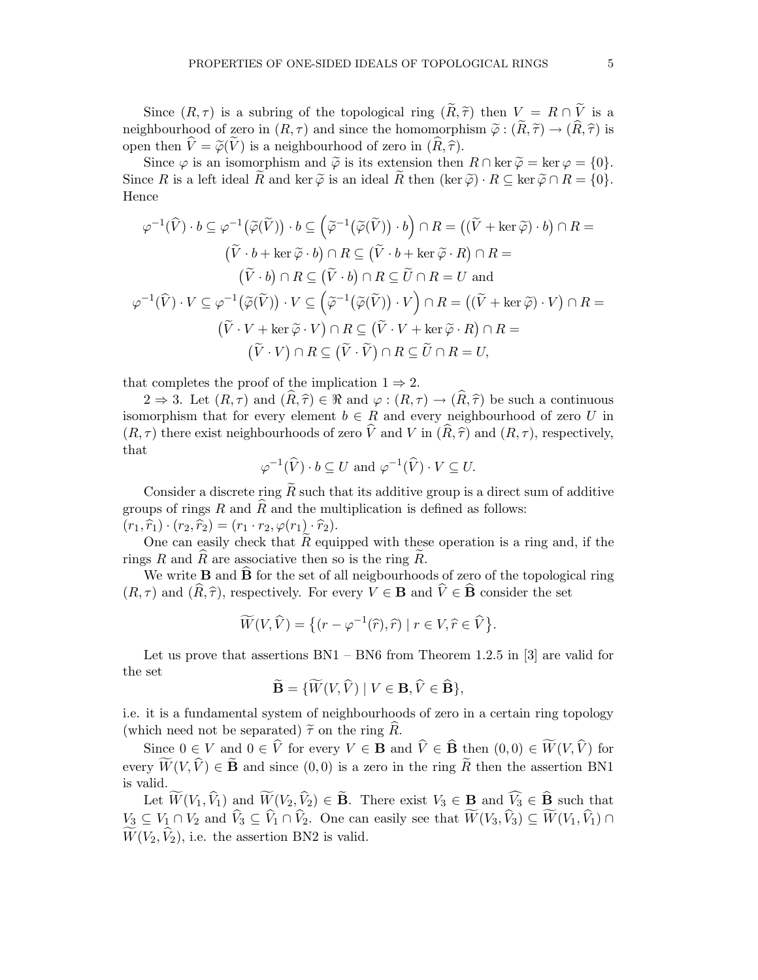Since  $(R, \tau)$  is a subring of the topological ring  $(\widetilde{R}, \widetilde{\tau})$  then  $V = R \cap \widetilde{V}$  is a neighbourhood of zero in  $(R, \tau)$  and since the homomorphism  $\tilde{\varphi}: (\tilde{R}, \tilde{\tau}) \to (\hat{R}, \hat{\tau})$  is open then  $\hat{V} = \tilde{\varphi}(\tilde{V})$  is a neighbourhood of zero in  $(\widehat{R}, \widehat{\tau})$ .

Since  $\varphi$  is an isomorphism and  $\tilde{\varphi}$  is its extension then  $R \cap \ker \tilde{\varphi} = \ker \varphi = \{0\}.$ Since R is a left ideal R and ker  $\tilde{\varphi}$  is an ideal R then (ker  $\tilde{\varphi} \cdot R \subseteq \ker \tilde{\varphi} \cap R = \{0\}.$ Hence

$$
\varphi^{-1}(\widehat{V}) \cdot b \subseteq \varphi^{-1}(\widetilde{\varphi}(\widetilde{V})) \cdot b \subseteq (\widetilde{\varphi}^{-1}(\widetilde{\varphi}(\widetilde{V})) \cdot b) \cap R = ((\widetilde{V} + \ker \widetilde{\varphi}) \cdot b) \cap R =
$$
  

$$
(\widetilde{V} \cdot b + \ker \widetilde{\varphi} \cdot b) \cap R \subseteq (\widetilde{V} \cdot b + \ker \widetilde{\varphi} \cdot R) \cap R =
$$
  

$$
(\widetilde{V} \cdot b) \cap R \subseteq (\widetilde{V} \cdot b) \cap R \subseteq \widetilde{U} \cap R = U \text{ and}
$$
  

$$
\varphi^{-1}(\widehat{V}) \cdot V \subseteq \varphi^{-1}(\widetilde{\varphi}(\widetilde{V})) \cdot V \subseteq (\widetilde{\varphi}^{-1}(\widetilde{\varphi}(\widetilde{V})) \cdot V) \cap R = ((\widetilde{V} + \ker \widetilde{\varphi}) \cdot V) \cap R =
$$
  

$$
(\widetilde{V} \cdot V + \ker \widetilde{\varphi} \cdot V) \cap R \subseteq (\widetilde{V} \cdot V + \ker \widetilde{\varphi} \cdot R) \cap R =
$$
  

$$
(\widetilde{V} \cdot V) \cap R \subseteq (\widetilde{V} \cdot \widetilde{V}) \cap R \subseteq \widetilde{U} \cap R = U,
$$

that completes the proof of the implication  $1 \Rightarrow 2$ .

 $2 \Rightarrow 3$ . Let  $(R, \tau)$  and  $(\widehat{R}, \widehat{\tau}) \in \Re$  and  $\varphi : (R, \tau) \to (\widehat{R}, \widehat{\tau})$  be such a continuous isomorphism that for every element  $b \in R$  and every neighbourhood of zero U in  $(R, \tau)$  there exist neighbourhoods of zero  $\hat{V}$  and V in  $(\hat{R}, \hat{\tau})$  and  $(R, \tau)$ , respectively, that

$$
\varphi^{-1}(\widehat V)\cdot b\subseteq U\text{ and }\varphi^{-1}(\widehat V)\cdot V\subseteq U.
$$

Consider a discrete ring  $\widetilde{R}$  such that its additive group is a direct sum of additive groups of rings R and  $\hat{R}$  and the multiplication is defined as follows:  $(r_1, \hat{r}_1) \cdot (r_2, \hat{r}_2) = (r_1 \cdot r_2, \varphi(r_1) \cdot \hat{r}_2).$ 

One can easily check that  $\tilde{R}$  equipped with these operation is a ring and, if the rings R and R are associative then so is the ring R.

We write **B** and  $\hat{\mathbf{B}}$  for the set of all neigbourhoods of zero of the topological ring  $(R, \tau)$  and  $(\widehat{R}, \widehat{\tau})$ , respectively. For every  $V \in \mathbf{B}$  and  $\widehat{V} \in \widehat{\mathbf{B}}$  consider the set

$$
\widetilde{W}(V,\widehat{V}) = \left\{ (r - \varphi^{-1}(\widehat{r}), \widehat{r}) \mid r \in V, \widehat{r} \in \widehat{V} \right\}.
$$

Let us prove that assertions  $BN1 - BN6$  from Theorem 1.2.5 in [3] are valid for the set

$$
\widetilde{\mathbf{B}} = \{ \widetilde{W}(V, \widehat{V}) \mid V \in \mathbf{B}, \widehat{V} \in \widehat{\mathbf{B}} \},
$$

i.e. it is a fundamental system of neighbourhoods of zero in a certain ring topology (which need not be separated)  $\tilde{\tau}$  on the ring  $\tilde{R}$ .

Since  $0 \in V$  and  $0 \in \widehat{V}$  for every  $V \in \mathbf{B}$  and  $\widehat{V} \in \widehat{\mathbf{B}}$  then  $(0, 0) \in \widetilde{W}(V, \widehat{V})$  for every  $\widetilde{W}(V,\widehat{V}) \in \widetilde{\mathbf{B}}$  and since  $(0,0)$  is a zero in the ring  $\widetilde{R}$  then the assertion BN1 is valid.

Let  $\widetilde{W}(V_1, \widehat{V}_1)$  and  $\widetilde{W}(V_2, \widehat{V}_2) \in \widetilde{\mathbf{B}}$ . There exist  $V_3 \in \mathbf{B}$  and  $\widehat{V}_3 \in \widehat{\mathbf{B}}$  such that  $V_3 \subseteq V_1 \cap V_2$  and  $\widehat{V}_3 \subseteq \widehat{V}_1 \cap \widehat{V}_2$ . One can easily see that  $\widetilde{W}(V_3, \widehat{V}_3) \subseteq \widetilde{W}(V_1, \widehat{V}_1) \cap$  $\widetilde{W}(V_2, \widehat{V}_2)$ , i.e. the assertion BN2 is valid.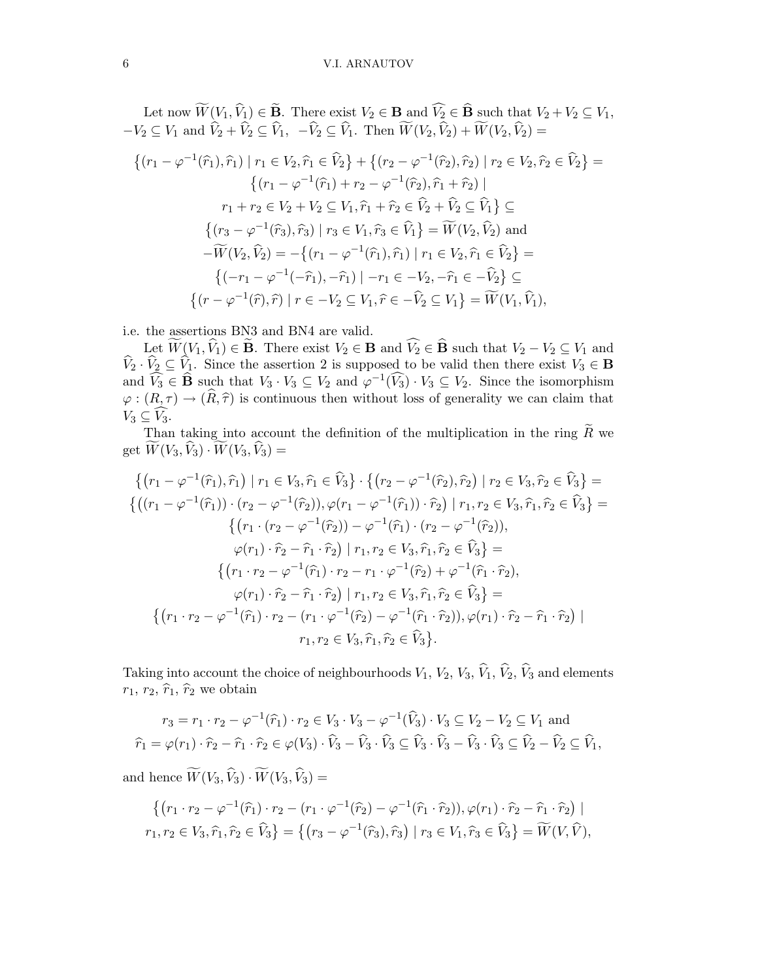Let now  $W(V_1, V_1) \in \mathbf{B}$ . There exist  $V_2 \in \mathbf{B}$  and  $V_2 \in \mathbf{B}$  such that  $V_2 + V_2 \subseteq V_1$ ,  $-V_2 \subseteq V_1$  and  $V_2 + V_2 \subseteq V_1$ ,  $-V_2 \subseteq V_1$ . Then  $W(V_2, V_2) + W(V_2, V_2) =$ 

$$
\{(r_1 - \varphi^{-1}(\hat{r}_1), \hat{r}_1) \mid r_1 \in V_2, \hat{r}_1 \in \hat{V}_2\} + \{(r_2 - \varphi^{-1}(\hat{r}_2), \hat{r}_2) \mid r_2 \in V_2, \hat{r}_2 \in \hat{V}_2\} =
$$
  

$$
\{(r_1 - \varphi^{-1}(\hat{r}_1) + r_2 - \varphi^{-1}(\hat{r}_2), \hat{r}_1 + \hat{r}_2) \mid
$$
  

$$
r_1 + r_2 \in V_2 + V_2 \subseteq V_1, \hat{r}_1 + \hat{r}_2 \in \hat{V}_2 + \hat{V}_2 \subseteq \hat{V}_1\} \subseteq
$$
  

$$
\{(r_3 - \varphi^{-1}(\hat{r}_3), \hat{r}_3) \mid r_3 \in V_1, \hat{r}_3 \in \hat{V}_1\} = \widetilde{W}(V_2, \hat{V}_2) \text{ and}
$$
  

$$
-\widetilde{W}(V_2, \hat{V}_2) = -\{(r_1 - \varphi^{-1}(\hat{r}_1), \hat{r}_1) \mid r_1 \in V_2, \hat{r}_1 \in \hat{V}_2\} =
$$
  

$$
\{(-r_1 - \varphi^{-1}(-\hat{r}_1), -\hat{r}_1) \mid -r_1 \in -V_2, -\hat{r}_1 \in -\hat{V}_2\} \subseteq
$$
  

$$
\{(r - \varphi^{-1}(\hat{r}), \hat{r}) \mid r \in -V_2 \subseteq V_1, \hat{r} \in -\hat{V}_2 \subseteq V_1\} = \widetilde{W}(V_1, \hat{V}_1),
$$

i.e. the assertions BN3 and BN4 are valid.

Let  $W(V_1, V_1) \in \mathbf{B}$ . There exist  $V_2 \in \mathbf{B}$  and  $V_2 \in \mathbf{B}$  such that  $V_2 - V_2 \subseteq V_1$  and  $V_2 \cdot V_2 \subseteq V_1$ . Since the assertion 2 is supposed to be valid then there exist  $V_3 \in \mathbf{B}$ and  $\widehat{V}_3 \in \widehat{B}$  such that  $V_3 \cdot V_3 \subseteq V_2$  and  $\widehat{\varphi}^{-1}(\widehat{V}_3) \cdot V_3 \subseteq V_2$ . Since the isomorphism  $\varphi:(R,\tau) \to (R,\hat{\tau})$  is continuous then without loss of generality we can claim that  $V_3 \subseteq V_3$ .

Than taking into account the definition of the multiplication in the ring  $\widetilde{R}$  we get  $\widetilde{W}(V_3, \widehat{V}_3) \cdot \widetilde{W}(V_3, \widehat{V}_3) =$ 

$$
\{(r_1 - \varphi^{-1}(\hat{r}_1), \hat{r}_1) | r_1 \in V_3, \hat{r}_1 \in \hat{V}_3\} \cdot \{(r_2 - \varphi^{-1}(\hat{r}_2), \hat{r}_2) | r_2 \in V_3, \hat{r}_2 \in \hat{V}_3\} = \{((r_1 - \varphi^{-1}(\hat{r}_1)) \cdot (r_2 - \varphi^{-1}(\hat{r}_2)), \varphi(r_1 - \varphi^{-1}(\hat{r}_1)) \cdot \hat{r}_2) | r_1, r_2 \in V_3, \hat{r}_1, \hat{r}_2 \in \hat{V}_3\} = \{(\tau_1 \cdot (r_2 - \varphi^{-1}(\hat{r}_2)) - \varphi^{-1}(\hat{r}_1) \cdot (r_2 - \varphi^{-1}(\hat{r}_2))),
$$
  

$$
\varphi(r_1) \cdot \hat{r}_2 - \hat{r}_1 \cdot \hat{r}_2\} | r_1, r_2 \in V_3, \hat{r}_1, \hat{r}_2 \in \hat{V}_3\} = \{(\tau_1 \cdot r_2 - \varphi^{-1}(\hat{r}_1) \cdot r_2 - r_1 \cdot \varphi^{-1}(\hat{r}_2) + \varphi^{-1}(\hat{r}_1 \cdot \hat{r}_2),
$$
  

$$
\varphi(r_1) \cdot \hat{r}_2 - \hat{r}_1 \cdot \hat{r}_2\} | r_1, r_2 \in V_3, \hat{r}_1, \hat{r}_2 \in \hat{V}_3\} = \{(\tau_1 \cdot r_2 - \varphi^{-1}(\hat{r}_1) \cdot r_2 - (r_1 \cdot \varphi^{-1}(\hat{r}_2) - \varphi^{-1}(\hat{r}_1 \cdot \hat{r}_2)), \varphi(r_1) \cdot \hat{r}_2 - \hat{r}_1 \cdot \hat{r}_2)\}
$$
  

$$
r_1, r_2 \in V_3, \hat{r}_1, \hat{r}_2 \in \hat{V}_3\}.
$$

Taking into account the choice of neighbourhoods  $V_1$ ,  $V_2$ ,  $V_3$ ,  $\widehat{V}_1$ ,  $\widehat{V}_2$ ,  $\widehat{V}_3$  and elements  $r_1, r_2, \hat{r}_1, \hat{r}_2$  we obtain

$$
r_3 = r_1 \cdot r_2 - \varphi^{-1}(\hat{r}_1) \cdot r_2 \in V_3 \cdot V_3 - \varphi^{-1}(\hat{V}_3) \cdot V_3 \subseteq V_2 - V_2 \subseteq V_1 \text{ and}
$$
  

$$
\hat{r}_1 = \varphi(r_1) \cdot \hat{r}_2 - \hat{r}_1 \cdot \hat{r}_2 \in \varphi(V_3) \cdot \hat{V}_3 - \hat{V}_3 \cdot \hat{V}_3 \subseteq \hat{V}_3 \cdot \hat{V}_3 - \hat{V}_3 \cdot \hat{V}_3 \subseteq \hat{V}_2 - \hat{V}_2 \subseteq \hat{V}_1,
$$

and hence  $\widetilde{W}(V_3, \widehat{V}_3) \cdot \widetilde{W}(V_3, \widehat{V}_3) =$ 

$$
\{(r_1 \cdot r_2 - \varphi^{-1}(\hat{r}_1) \cdot r_2 - (r_1 \cdot \varphi^{-1}(\hat{r}_2) - \varphi^{-1}(\hat{r}_1 \cdot \hat{r}_2)), \varphi(r_1) \cdot \hat{r}_2 - \hat{r}_1 \cdot \hat{r}_2) |
$$
  

$$
r_1, r_2 \in V_3, \hat{r}_1, \hat{r}_2 \in \hat{V}_3\} = \{(r_3 - \varphi^{-1}(\hat{r}_3), \hat{r}_3) | r_3 \in V_1, \hat{r}_3 \in \hat{V}_3\} = \widetilde{W}(V, \widehat{V}),
$$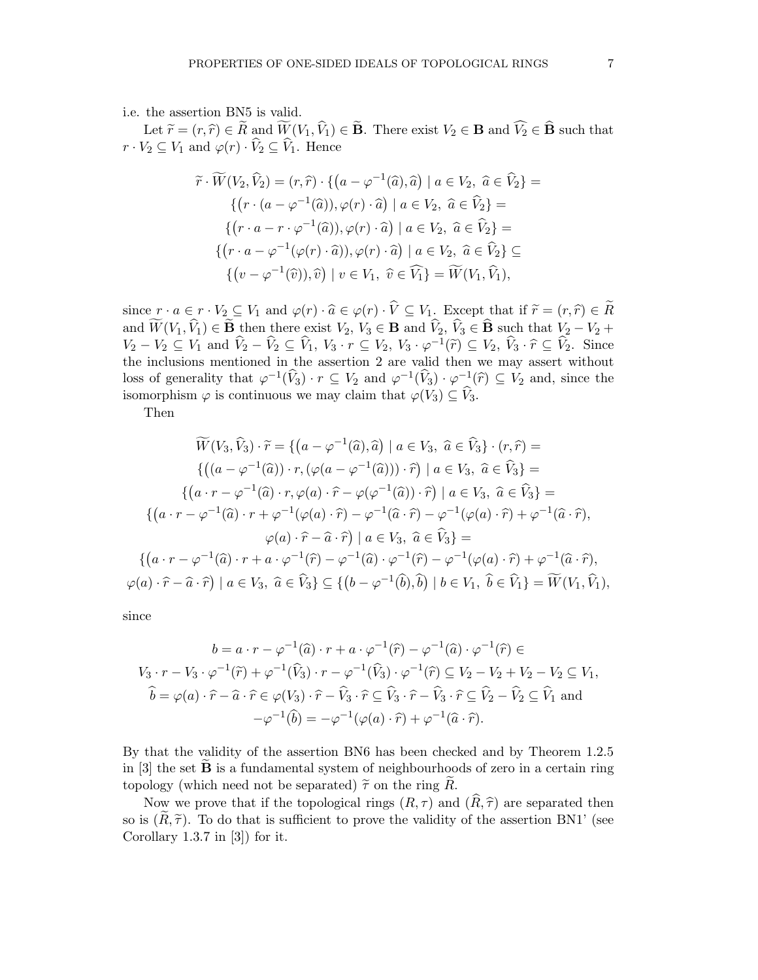i.e. the assertion BN5 is valid.

Let  $\widetilde{r} = (r, \widehat{r}) \in \widetilde{R}$  and  $\widetilde{W}(V_1, \widehat{V}_1) \in \widetilde{\mathbf{B}}$ . There exist  $V_2 \in \mathbf{B}$  and  $\widehat{V}_2 \in \widehat{\mathbf{B}}$  such that  $r \cdot V_2 \subseteq V_1$  and  $\varphi(r) \cdot \widehat{V}_2 \subseteq \widehat{V}_1$ . Hence

$$
\widetilde{r} \cdot \widetilde{W}(V_2, \widehat{V}_2) = (r, \widehat{r}) \cdot \{ \left( a - \varphi^{-1}(\widehat{a}), \widehat{a} \right) \mid a \in V_2, \ \widehat{a} \in \widehat{V}_2 \} =
$$
\n
$$
\{ \left( r \cdot (a - \varphi^{-1}(\widehat{a})), \varphi(r) \cdot \widehat{a} \right) \mid a \in V_2, \ \widehat{a} \in \widehat{V}_2 \} =
$$
\n
$$
\{ \left( r \cdot a - r \cdot \varphi^{-1}(\widehat{a}), \varphi(r) \cdot \widehat{a} \right) \mid a \in V_2, \ \widehat{a} \in \widehat{V}_2 \} =
$$
\n
$$
\{ \left( r \cdot a - \varphi^{-1}(\varphi(r) \cdot \widehat{a}), \varphi(r) \cdot \widehat{a} \right) \mid a \in V_2, \ \widehat{a} \in \widehat{V}_2 \} \subseteq
$$
\n
$$
\{ \left( v - \varphi^{-1}(\widehat{v}), \widehat{v} \right) \mid v \in V_1, \ \widehat{v} \in \widehat{V}_1 \} = \widetilde{W}(V_1, \widehat{V}_1),
$$

since  $r \cdot a \in r \cdot V_2 \subseteq V_1$  and  $\varphi(r) \cdot \widehat{a} \in \varphi(r) \cdot \widehat{V} \subseteq V_1$ . Except that if  $\widetilde{r} = (r, \widehat{r}) \in \widetilde{R}$ and  $\widetilde{W}(V_1, \widehat{V}_1) \in \widetilde{\mathbf{B}}$  then there exist  $V_2, V_3 \in \mathbf{B}$  and  $\widehat{V}_2, \widehat{V}_3 \in \widehat{\mathbf{B}}$  such that  $V_2 - V_2 +$  $V_2 - V_2 \subseteq V_1$  and  $\widehat{V}_2 - \widehat{V}_2 \subseteq \widehat{V}_1$ ,  $V_3 \cdot r \subseteq V_2$ ,  $V_3 \cdot \varphi^{-1}(\widetilde{r}) \subseteq V_2$ ,  $\widehat{V}_3 \cdot \widehat{r} \subseteq \widehat{V}_2$ . Since the inclusions mentioned in the assertion 2 are valid then we may assert without loss of generality that  $\varphi^{-1}(\widehat{V}_3) \cdot r \subseteq V_2$  and  $\varphi^{-1}(\widehat{V}_3) \cdot \varphi^{-1}(\widehat{r}) \subseteq V_2$  and, since the isomorphism  $\varphi$  is continuous we may claim that  $\varphi(V_3) \subseteq \widehat{V}_3$ .

Then

$$
\widetilde{W}(V_3, \widehat{V}_3) \cdot \widetilde{r} = \{ (a - \varphi^{-1}(\widehat{a}), \widehat{a}) \mid a \in V_3, \ \widehat{a} \in \widehat{V}_3 \} \cdot (r, \widehat{r}) =
$$
\n
$$
\{ ((a - \varphi^{-1}(\widehat{a})) \cdot r, (\varphi(a - \varphi^{-1}(\widehat{a}))) \cdot \widehat{r}) \mid a \in V_3, \ \widehat{a} \in \widehat{V}_3 \} =
$$
\n
$$
\{ (a \cdot r - \varphi^{-1}(\widehat{a}) \cdot r, \varphi(a) \cdot \widehat{r} - \varphi(\varphi^{-1}(\widehat{a})) \cdot \widehat{r}) \mid a \in V_3, \ \widehat{a} \in \widehat{V}_3 \} =
$$
\n
$$
\{ (a \cdot r - \varphi^{-1}(\widehat{a}) \cdot r + \varphi^{-1}(\varphi(a) \cdot \widehat{r}) - \varphi^{-1}(\widehat{a} \cdot \widehat{r}) - \varphi^{-1}(\varphi(a) \cdot \widehat{r}) + \varphi^{-1}(\widehat{a} \cdot \widehat{r}),
$$
\n
$$
\varphi(a) \cdot \widehat{r} - \widehat{a} \cdot \widehat{r} \mid a \in V_3, \ \widehat{a} \in \widehat{V}_3 \} =
$$
\n
$$
\{ (a \cdot r - \varphi^{-1}(\widehat{a}) \cdot r + a \cdot \varphi^{-1}(\widehat{r}) - \varphi^{-1}(\widehat{a}) \cdot \varphi^{-1}(\widehat{r}) - \varphi^{-1}(\varphi(a) \cdot \widehat{r}) + \varphi^{-1}(\widehat{a} \cdot \widehat{r}),
$$
\n
$$
\varphi(a) \cdot \widehat{r} - \widehat{a} \cdot \widehat{r} \mid a \in V_3, \ \widehat{a} \in \widehat{V}_3 \} \subseteq \{ (b - \varphi^{-1}(\widehat{b}), \widehat{b}) \mid b \in V_1, \ \widehat{b} \in \widehat{V}_1 \} = \widetilde{W}(V_1, \widehat{V}_1),
$$

since

$$
b = a \cdot r - \varphi^{-1}(\widehat{a}) \cdot r + a \cdot \varphi^{-1}(\widehat{r}) - \varphi^{-1}(\widehat{a}) \cdot \varphi^{-1}(\widehat{r}) \in
$$
  

$$
V_3 \cdot r - V_3 \cdot \varphi^{-1}(\widehat{r}) + \varphi^{-1}(\widehat{V}_3) \cdot r - \varphi^{-1}(\widehat{V}_3) \cdot \varphi^{-1}(\widehat{r}) \subseteq V_2 - V_2 + V_2 - V_2 \subseteq V_1,
$$
  

$$
\widehat{b} = \varphi(a) \cdot \widehat{r} - \widehat{a} \cdot \widehat{r} \in \varphi(V_3) \cdot \widehat{r} - \widehat{V}_3 \cdot \widehat{r} \subseteq \widehat{V}_3 \cdot \widehat{r} - \widehat{V}_3 \cdot \widehat{r} \subseteq \widehat{V}_2 - \widehat{V}_2 \subseteq \widehat{V}_1 \text{ and}
$$
  

$$
-\varphi^{-1}(\widehat{b}) = -\varphi^{-1}(\varphi(a) \cdot \widehat{r}) + \varphi^{-1}(\widehat{a} \cdot \widehat{r}).
$$

By that the validity of the assertion BN6 has been checked and by Theorem 1.2.5 in  $[3]$  the set **B** is a fundamental system of neighbourhoods of zero in a certain ring topology (which need not be separated)  $\tilde{\tau}$  on the ring R.

Now we prove that if the topological rings  $(R, \tau)$  and  $(\widehat{R}, \widehat{\tau})$  are separated then so is  $(\widetilde{R}, \widetilde{\tau})$ . To do that is sufficient to prove the validity of the assertion BN1' (see Corollary 1.3.7 in [3]) for it.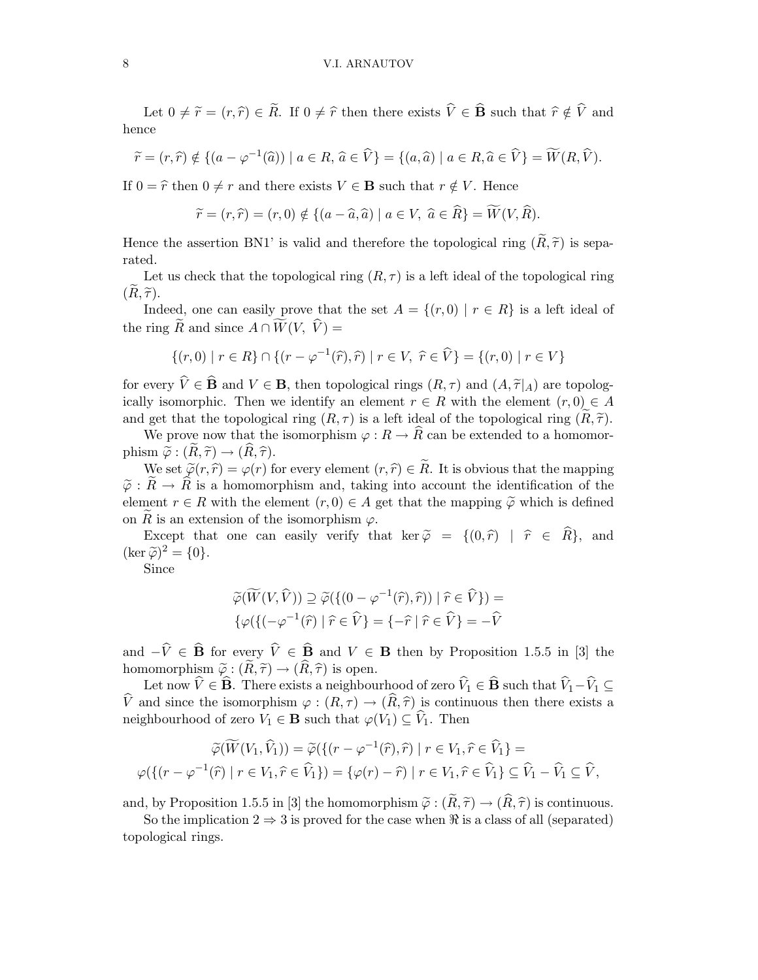## 8 V.I. ARNAUTOV

Let  $0 \neq \tilde{r} = (r, \hat{r}) \in \tilde{R}$ . If  $0 \neq \hat{r}$  then there exists  $\hat{V} \in \hat{B}$  such that  $\hat{r} \notin \hat{V}$  and hence

$$
\widetilde{r} = (r, \widehat{r}) \notin \{ (a - \varphi^{-1}(\widehat{a})) \mid a \in R, \widehat{a} \in \widehat{V} \} = \{ (a, \widehat{a}) \mid a \in R, \widehat{a} \in \widehat{V} \} = \widetilde{W}(R, \widehat{V}).
$$

If  $0 = \hat{r}$  then  $0 \neq r$  and there exists  $V \in \mathbf{B}$  such that  $r \notin V$ . Hence

$$
\widetilde{r} = (r, \widehat{r}) = (r, 0) \notin \{ (a - \widehat{a}, \widehat{a}) \mid a \in V, \ \widehat{a} \in \widehat{R} \} = \widetilde{W}(V, \widehat{R}).
$$

Hence the assertion BN1' is valid and therefore the topological ring  $(\tilde{R}, \tilde{\tau})$  is separated.

Let us check that the topological ring  $(R, \tau)$  is a left ideal of the topological ring  $(R, \tilde{\tau}).$ 

Indeed, one can easily prove that the set  $A = \{(r, 0) | r \in R\}$  is a left ideal of the ring  $\widetilde{R}$  and since  $A \cap \widetilde{W}(V, \widehat{V}) =$ 

$$
\{(r,0) | r \in R\} \cap \{(r - \varphi^{-1}(\widehat{r}), \widehat{r}) | r \in V, \ \widehat{r} \in \widehat{V}\} = \{(r,0) | r \in V\}
$$

for every  $\hat{V} \in \hat{\mathbf{B}}$  and  $V \in \mathbf{B}$ , then topological rings  $(R, \tau)$  and  $(A, \tilde{\tau}|_A)$  are topologically isomorphic. Then we identify an element  $r \in R$  with the element  $(r, 0) \in A$ and get that the topological ring  $(R, \tau)$  is a left ideal of the topological ring  $(R, \tilde{\tau})$ .

We prove now that the isomorphism  $\varphi : R \to \hat{R}$  can be extended to a homomorphism  $\widetilde{\varphi}: (\widetilde{R}, \widetilde{\tau}) \to (\widetilde{R}, \widehat{\tau}).$ 

We set  $\widetilde{\varphi}(r,\widehat{r}) = \varphi(r)$  for every element  $(r,\widehat{r}) \in \widetilde{R}$ . It is obvious that the mapping  $\tilde{\varphi}: \tilde{R} \to \hat{R}$  is a homomorphism and, taking into account the identification of the element  $r \in R$  with the element  $(r, 0) \in A$  get that the mapping  $\widetilde{\varphi}$  which is defined on R is an extension of the isomorphism  $\varphi$ .

Except that one can easily verify that ker  $\tilde{\varphi} = \{(0, \hat{r}) \mid \hat{r} \in \hat{R}\}\$ , and  $(\ker \widetilde{\varphi})^2 = \{0\}.$ 

Since

$$
\widetilde{\varphi}(\widetilde{W}(V,\widehat{V})) \supseteq \widetilde{\varphi}(\{(0-\varphi^{-1}(\widehat{r}),\widehat{r}) ) \mid \widehat{r} \in \widehat{V}\}) =
$$
  

$$
\{\varphi(\{(-\varphi^{-1}(\widehat{r}) \mid \widehat{r} \in \widehat{V}\}) = \{-\widehat{r} \mid \widehat{r} \in \widehat{V}\} = -\widehat{V}
$$

and  $-\hat{V} \in \hat{\mathbf{B}}$  for every  $\hat{V} \in \hat{\mathbf{B}}$  and  $V \in \mathbf{B}$  then by Proposition 1.5.5 in [3] the homomorphism  $\tilde{\varphi}: (\tilde{R}, \tilde{\tau}) \to (\hat{R}, \hat{\tau})$  is open.

Let now  $\hat{V} \in \hat{\mathbf{B}}$ . There exists a neighbourhood of zero  $\hat{V}_1 \in \hat{\mathbf{B}}$  such that  $\hat{V}_1 - \hat{V}_1 \subseteq$  $\hat{V}$  and since the isomorphism  $\varphi : (R, \tau) \to (\hat{R}, \hat{\tau})$  is continuous then there exists a neighbourhood of zero  $V_1 \in \mathbf{B}$  such that  $\varphi(V_1) \subseteq \widehat{V}_1$ . Then

$$
\widetilde{\varphi}(\widetilde{W}(V_1, \widehat{V}_1)) = \widetilde{\varphi}(\{(r - \varphi^{-1}(\widehat{r}), \widehat{r}) \mid r \in V_1, \widehat{r} \in \widehat{V}_1\}) =
$$
  

$$
\varphi(\{(r - \varphi^{-1}(\widehat{r}) \mid r \in V_1, \widehat{r} \in \widehat{V}_1\}) = \{\varphi(r) - \widehat{r}) \mid r \in V_1, \widehat{r} \in \widehat{V}_1\} \subseteq \widehat{V}_1 - \widehat{V}_1 \subseteq \widehat{V},
$$

and, by Proposition 1.5.5 in [3] the homomorphism  $\tilde{\varphi}: (\tilde{R}, \tilde{\tau}) \to (\hat{R}, \hat{\tau})$  is continuous.

So the implication  $2 \Rightarrow 3$  is proved for the case when  $\Re$  is a class of all (separated) topological rings.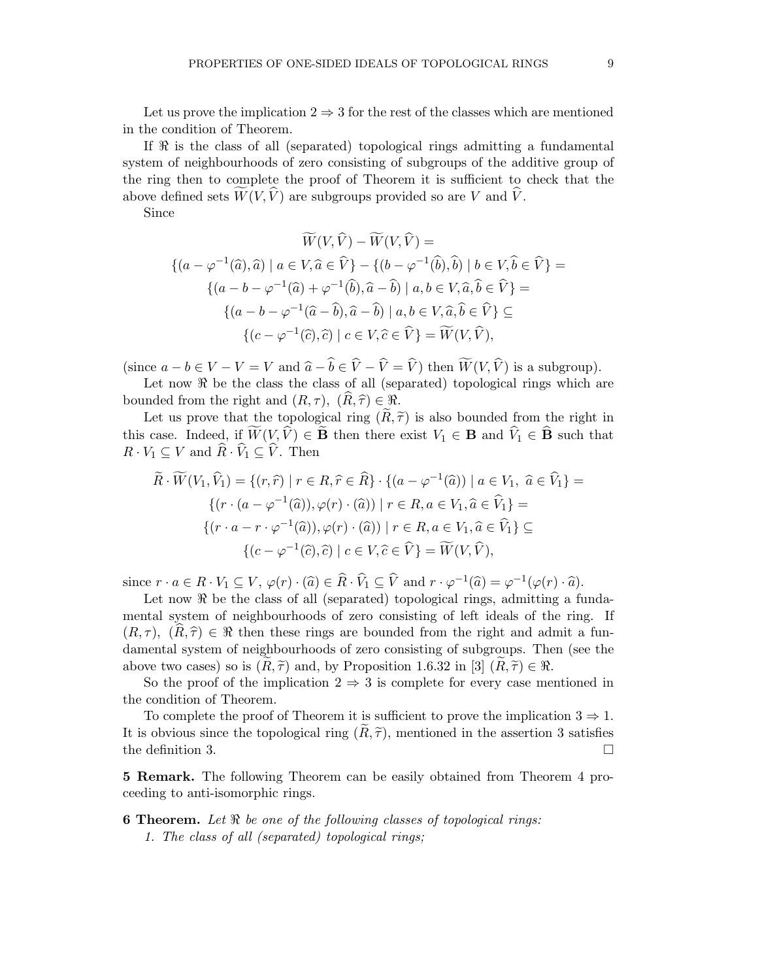Let us prove the implication  $2 \Rightarrow 3$  for the rest of the classes which are mentioned in the condition of Theorem.

If  $\Re$  is the class of all (separated) topological rings admitting a fundamental system of neighbourhoods of zero consisting of subgroups of the additive group of the ring then to complete the proof of Theorem it is sufficient to check that the above defined sets  $\overline{W}(V, \hat{V})$  are subgroups provided so are V and  $\hat{V}$ .

Since

$$
\widetilde{W}(V,\widehat{V}) - \widetilde{W}(V,\widehat{V}) =
$$
  

$$
\{(a - \varphi^{-1}(\widehat{a}), \widehat{a}) \mid a \in V, \widehat{a} \in \widehat{V}\} - \{(b - \varphi^{-1}(\widehat{b}), \widehat{b}) \mid b \in V, \widehat{b} \in \widehat{V}\} =
$$
  

$$
\{(a - b - \varphi^{-1}(\widehat{a}) + \varphi^{-1}(\widehat{b}), \widehat{a} - \widehat{b}) \mid a, b \in V, \widehat{a}, \widehat{b} \in \widehat{V}\} =
$$
  

$$
\{(a - b - \varphi^{-1}(\widehat{a} - \widehat{b}), \widehat{a} - \widehat{b}) \mid a, b \in V, \widehat{a}, \widehat{b} \in \widehat{V}\} \subseteq
$$
  

$$
\{(c - \varphi^{-1}(\widehat{c}), \widehat{c}) \mid c \in V, \widehat{c} \in \widehat{V}\} = \widetilde{W}(V, \widehat{V}),
$$

(since  $a - b \in V - V = V$  and  $\hat{a} - \hat{b} \in \hat{V} - \hat{V} = \hat{V}$ ) then  $\widetilde{W}(V, \hat{V})$  is a subgroup).

Let now  $\Re$  be the class the class of all (separated) topological rings which are bounded from the right and  $(R, \tau)$ ,  $(R, \hat{\tau}) \in \Re$ .

Let us prove that the topological ring  $(R, \tilde{\tau})$  is also bounded from the right in this case. Indeed, if  $\widetilde{W}(V,\widehat{V}) \in \widetilde{\mathbf{B}}$  then there exist  $V_1 \in \mathbf{B}$  and  $\widehat{V}_1 \in \widehat{\mathbf{B}}$  such that  $R \cdot V_1 \subseteq V$  and  $\widehat{R} \cdot \widehat{V}_1 \subseteq \widehat{V}$ . Then

$$
\widetilde{R} \cdot \widetilde{W}(V_1, \widehat{V}_1) = \{ (r, \widehat{r}) \mid r \in R, \widehat{r} \in \widehat{R} \} \cdot \{ (a - \varphi^{-1}(\widehat{a})) \mid a \in V_1, \ \widehat{a} \in \widehat{V}_1 \} =
$$
\n
$$
\{ (r \cdot (a - \varphi^{-1}(\widehat{a})), \varphi(r) \cdot (\widehat{a})) \mid r \in R, a \in V_1, \widehat{a} \in \widehat{V}_1 \} =
$$
\n
$$
\{ (r \cdot a - r \cdot \varphi^{-1}(\widehat{a})), \varphi(r) \cdot (\widehat{a}) \mid r \in R, a \in V_1, \widehat{a} \in \widehat{V}_1 \} \subseteq
$$
\n
$$
\{ (c - \varphi^{-1}(\widehat{c}), \widehat{c}) \mid c \in V, \widehat{c} \in \widehat{V} \} = \widetilde{W}(V, \widehat{V}),
$$

since  $r \cdot a \in R \cdot V_1 \subseteq V$ ,  $\varphi(r) \cdot (\widehat{a}) \in \widehat{R} \cdot \widehat{V}_1 \subseteq \widehat{V}$  and  $r \cdot \varphi^{-1}(\widehat{a}) = \varphi^{-1}(\varphi(r) \cdot \widehat{a})$ .

Let now  $\Re$  be the class of all (separated) topological rings, admitting a fundamental system of neighbourhoods of zero consisting of left ideals of the ring. If  $(R, \tau)$ ,  $(\widehat{R}, \widehat{\tau}) \in \Re$  then these rings are bounded from the right and admit a fundamental system of neighbourhoods of zero consisting of subgroups. Then (see the above two cases) so is  $(R, \tilde{\tau})$  and, by Proposition 1.6.32 in [3]  $(R, \tilde{\tau}) \in \Re$ .

So the proof of the implication  $2 \Rightarrow 3$  is complete for every case mentioned in the condition of Theorem.

To complete the proof of Theorem it is sufficient to prove the implication  $3 \Rightarrow 1$ . It is obvious since the topological ring  $(R, \tilde{\tau})$ , mentioned in the assertion 3 satisfies the definition 3. the definition 3.

5 Remark. The following Theorem can be easily obtained from Theorem 4 proceeding to anti-isomorphic rings.

## **6 Theorem.** Let  $\Re$  be one of the following classes of topological rings: 1. The class of all (separated) topological rings;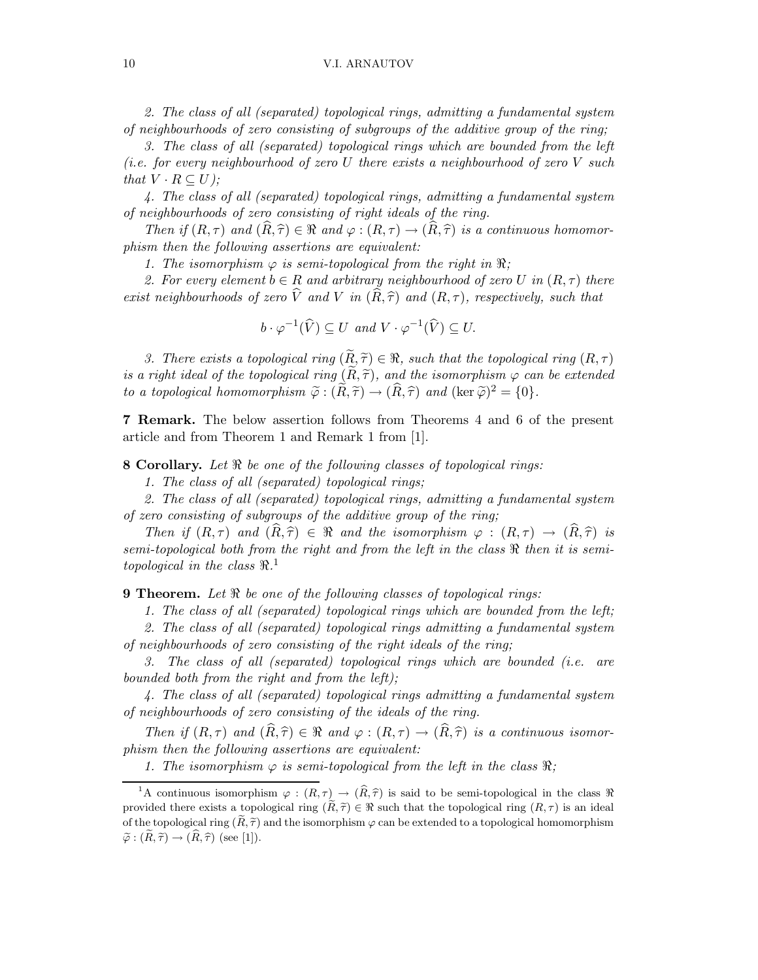### 10 V.I. ARNAUTOV

2. The class of all (separated) topological rings, admitting a fundamental system of neighbourhoods of zero consisting of subgroups of the additive group of the ring;

3. The class of all (separated) topological rings which are bounded from the left (i.e. for every neighbourhood of zero U there exists a neighbourhood of zero V such that  $V \cdot R \subset U$ ;

4. The class of all (separated) topological rings, admitting a fundamental system of neighbourhoods of zero consisting of right ideals of the ring.

Then if  $(R, \tau)$  and  $(\widehat{R}, \widehat{\tau}) \in \Re$  and  $\varphi : (R, \tau) \to (\widehat{R}, \widehat{\tau})$  is a continuous homomorphism then the following assertions are equivalent:

1. The isomorphism  $\varphi$  is semi-topological from the right in  $\Re$ ;

2. For every element  $b \in R$  and arbitrary neighbourhood of zero U in  $(R, \tau)$  there exist neighbourhoods of zero  $\hat{V}$  and V in  $(\widehat{R}, \widehat{\tau})$  and  $(R, \tau)$ , respectively, such that

$$
b \cdot \varphi^{-1}(\widehat{V}) \subseteq U \text{ and } V \cdot \varphi^{-1}(\widehat{V}) \subseteq U.
$$

3. There exists a topological ring  $(\widetilde{R}, \widetilde{\tau}) \in \Re$ , such that the topological ring  $(R, \tau)$ is a right ideal of the topological ring  $(\widetilde{R}, \widetilde{\tau})$ , and the isomorphism  $\varphi$  can be extended to a topological homomorphism  $\widetilde{\varphi} : (\widetilde{R}, \widetilde{\tau}) \to (\widehat{R}, \widehat{\tau})$  and  $(\ker \widetilde{\varphi})^2 = \{0\}.$ 

7 Remark. The below assertion follows from Theorems 4 and 6 of the present article and from Theorem 1 and Remark 1 from [1].

**8 Corollary.** Let  $\Re$  be one of the following classes of topological rings:

1. The class of all (separated) topological rings;

2. The class of all (separated) topological rings, admitting a fundamental system of zero consisting of subgroups of the additive group of the ring;

Then if  $(R, \tau)$  and  $(\widehat{R}, \widehat{\tau}) \in \Re$  and the isomorphism  $\varphi : (R, \tau) \to (\widehat{R}, \widehat{\tau})$  is semi-topological both from the right and from the left in the class  $\Re$  then it is semitopological in the class  $\Re$ .<sup>1</sup>

**9 Theorem.** Let  $\Re$  be one of the following classes of topological rings:

1. The class of all (separated) topological rings which are bounded from the left;

2. The class of all (separated) topological rings admitting a fundamental system of neighbourhoods of zero consisting of the right ideals of the ring;

3. The class of all (separated) topological rings which are bounded (i.e. are bounded both from the right and from the left);

4. The class of all (separated) topological rings admitting a fundamental system of neighbourhoods of zero consisting of the ideals of the ring.

Then if  $(R, \tau)$  and  $(\widehat{R}, \widehat{\tau}) \in \Re$  and  $\varphi : (R, \tau) \to (\widehat{R}, \widehat{\tau})$  is a continuous isomorphism then the following assertions are equivalent:

1. The isomorphism  $\varphi$  is semi-topological from the left in the class  $\Re$ ;

<sup>&</sup>lt;sup>1</sup>A continuous isomorphism  $\varphi : (R, \tau) \to (\widehat{R}, \widehat{\tau})$  is said to be semi-topological in the class  $\Re$ provided there exists a topological ring  $(\tilde{R}, \tilde{\tau}) \in \Re$  such that the topological ring  $(R, \tau)$  is an ideal of the topological ring  $(\tilde{R}, \tilde{\tau})$  and the isomorphism  $\varphi$  can be extended to a topological homomorphism  $\widetilde{\varphi}: (\widetilde{R}, \widetilde{\tau}) \to (\widehat{R}, \widehat{\tau})$  (see [1]).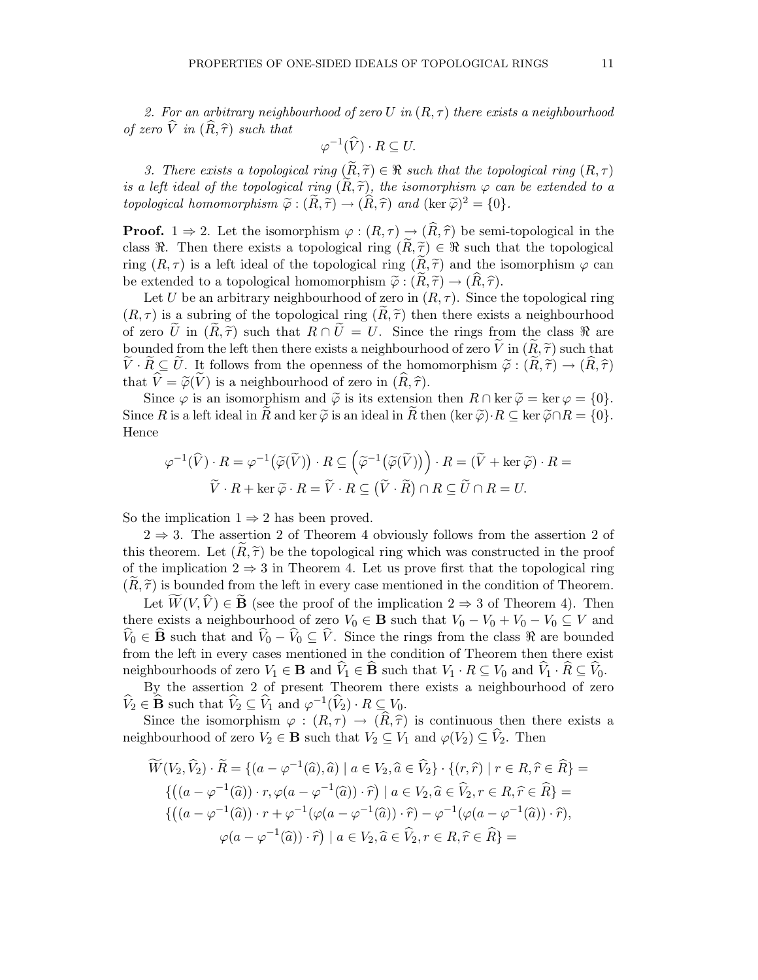2. For an arbitrary neighbourhood of zero U in  $(R, \tau)$  there exists a neighbourhood of zero  $\hat{V}$  in  $(\hat{R}, \hat{\tau})$  such that

$$
\varphi^{-1}(\widehat{V}) \cdot R \subseteq U.
$$

3. There exists a topological ring  $(R, \tilde{\tau}) \in \Re$  such that the topological ring  $(R, \tau)$ is a left ideal of the topological ring  $(R, \tilde{\tau})$ , the isomorphism  $\varphi$  can be extended to a topological homomorphism  $\widetilde{\varphi}: (\widetilde{R}, \widetilde{\tau}) \to (\widehat{R}, \widehat{\tau})$  and  $(\ker \widetilde{\varphi})^2 = \{0\}.$ 

**Proof.** 1  $\Rightarrow$  2. Let the isomorphism  $\varphi : (R, \tau) \to (\widehat{R}, \widehat{\tau})$  be semi-topological in the class  $\Re$ . Then there exists a topological ring  $(R, \tilde{\tau}) \in \Re$  such that the topological ring  $(R, \tau)$  is a left ideal of the topological ring  $(R, \tilde{\tau})$  and the isomorphism  $\varphi$  can be extended to a topological homomorphism  $\tilde{\varphi}: (R, \tilde{\tau}) \to (R, \tilde{\tau}).$ 

Let U be an arbitrary neighbourhood of zero in  $(R, \tau)$ . Since the topological ring  $(R, \tau)$  is a subring of the topological ring  $(R, \tilde{\tau})$  then there exists a neighbourhood of zero  $\tilde{U}$  in  $(\tilde{R}, \tilde{\tau})$  such that  $R \cap \tilde{U} = U$ . Since the rings from the class  $\Re$  are bounded from the left then there exists a neighbourhood of zero  $\tilde{V}$  in  $(\tilde{R}, \tilde{\tau})$  such that  $\tilde{V} \cdot \tilde{R} \subseteq U$ . It follows from the openness of the homomorphism  $\tilde{\varphi}: (\tilde{R}, \tilde{\tau}) \to (\tilde{R}, \tilde{\tau})$ that  $\hat{V} = \tilde{\varphi}(\tilde{V})$  is a neighbourhood of zero in  $(\widehat{R}, \widehat{\tau})$ .

Since  $\varphi$  is an isomorphism and  $\widetilde{\varphi}$  is its extension then  $R \cap \ker \widetilde{\varphi} = \ker \varphi = \{0\}.$ Since R is a left ideal in R and ker  $\tilde{\varphi}$  is an ideal in R then (ker  $\tilde{\varphi}$ )·R  $\subseteq$  ker  $\tilde{\varphi} \cap R = \{0\}$ . Hence

$$
\varphi^{-1}(\widehat{V}) \cdot R = \varphi^{-1}(\widetilde{\varphi}(\widetilde{V})) \cdot R \subseteq (\widetilde{\varphi}^{-1}(\widetilde{\varphi}(\widetilde{V})) \cdot R = (\widetilde{V} + \ker \widetilde{\varphi}) \cdot R =
$$
  

$$
\widetilde{V} \cdot R + \ker \widetilde{\varphi} \cdot R = \widetilde{V} \cdot R \subseteq (\widetilde{V} \cdot \widetilde{R}) \cap R \subseteq \widetilde{U} \cap R = U.
$$

So the implication  $1 \Rightarrow 2$  has been proved.

 $2 \Rightarrow 3$ . The assertion 2 of Theorem 4 obviously follows from the assertion 2 of this theorem. Let  $(R, \tilde{\tau})$  be the topological ring which was constructed in the proof of the implication  $2 \Rightarrow 3$  in Theorem 4. Let us prove first that the topological ring  $(R, \tilde{\tau})$  is bounded from the left in every case mentioned in the condition of Theorem.

Let  $W(V, \hat{V}) \in \mathbf{B}$  (see the proof of the implication  $2 \Rightarrow 3$  of Theorem 4). Then there exists a neighbourhood of zero  $V_0 \in \mathbf{B}$  such that  $V_0 - V_0 + V_0 - V_0 \subseteq V$  and  $\widehat{V}_0 \in \widehat{B}$  such that and  $\widehat{V}_0 - \widehat{V}_0 \subseteq \widehat{V}$ . Since the rings from the class  $\Re$  are bounded from the left in every cases mentioned in the condition of Theorem then there exist neighbourhoods of zero  $V_1 \in \mathbf{B}$  and  $\hat{V}_1 \in \hat{\mathbf{B}}$  such that  $V_1 \cdot R \subseteq V_0$  and  $\hat{V}_1 \cdot \hat{R} \subseteq \hat{V}_0$ .

By the assertion 2 of present Theorem there exists a neighbourhood of zero  $\widehat{V}_2 \in \widehat{\mathbf{B}}$  such that  $\widehat{V}_2 \subseteq \widehat{V}_1$  and  $\varphi^{-1}(\widehat{V}_2) \cdot R \subseteq V_0$ .

Since the isomorphism  $\varphi : (R, \tau) \to (\widehat{R}, \widehat{\tau})$  is continuous then there exists a neighbourhood of zero  $V_2 \in \mathbf{B}$  such that  $V_2 \subseteq V_1$  and  $\varphi(V_2) \subseteq V_2$ . Then

$$
\widetilde{W}(V_2, \widehat{V}_2) \cdot \widetilde{R} = \{ (a - \varphi^{-1}(\widehat{a}), \widehat{a}) \mid a \in V_2, \widehat{a} \in \widehat{V}_2 \} \cdot \{ (r, \widehat{r}) \mid r \in R, \widehat{r} \in \widehat{R} \} =
$$
  

$$
\{ ((a - \varphi^{-1}(\widehat{a})) \cdot r, \varphi(a - \varphi^{-1}(\widehat{a})) \cdot \widehat{r}) \mid a \in V_2, \widehat{a} \in \widehat{V}_2, r \in R, \widehat{r} \in \widehat{R} \} =
$$
  

$$
\{ ((a - \varphi^{-1}(\widehat{a})) \cdot r + \varphi^{-1}(\varphi(a - \varphi^{-1}(\widehat{a})) \cdot \widehat{r}) - \varphi^{-1}(\varphi(a - \varphi^{-1}(\widehat{a})) \cdot \widehat{r}),
$$
  

$$
\varphi(a - \varphi^{-1}(\widehat{a})) \cdot \widehat{r} \mid a \in V_2, \widehat{a} \in \widehat{V}_2, r \in R, \widehat{r} \in \widehat{R} \} =
$$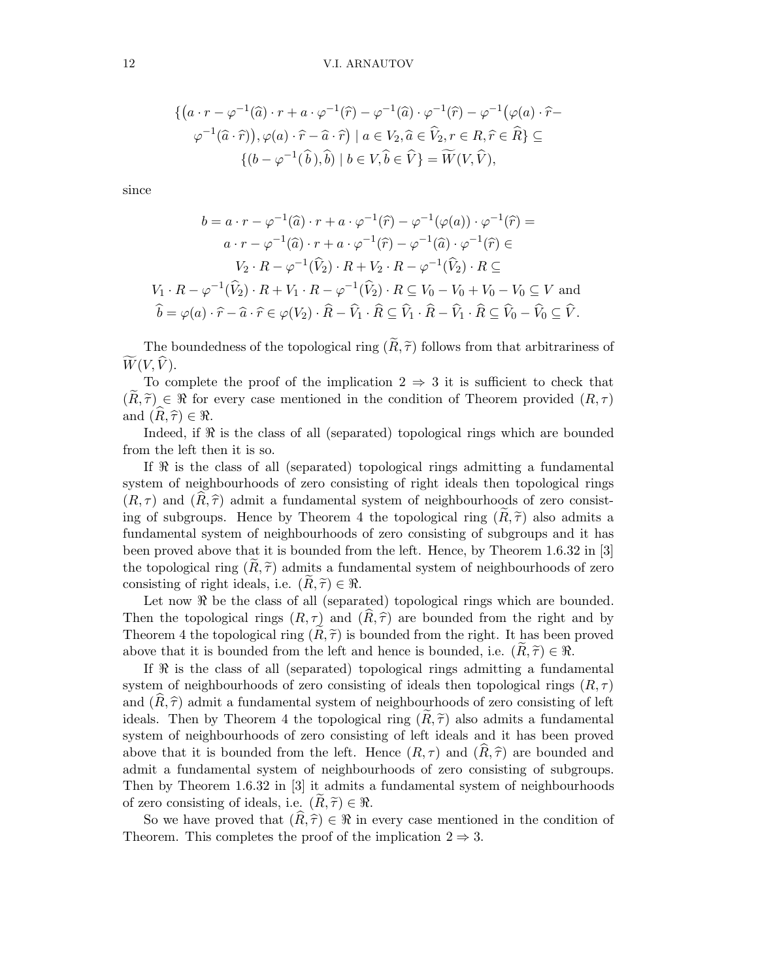$$
\{ (a \cdot r - \varphi^{-1}(\widehat{a}) \cdot r + a \cdot \varphi^{-1}(\widehat{r}) - \varphi^{-1}(\widehat{a}) \cdot \varphi^{-1}(\widehat{r}) - \varphi^{-1}(\varphi(a) \cdot \widehat{r} - \varphi^{-1}(\widehat{a} \cdot \widehat{r})), \varphi(a) \cdot \widehat{r} - \widehat{a} \cdot \widehat{r}) \mid a \in V_2, \widehat{a} \in \widehat{V}_2, r \in R, \widehat{r} \in \widehat{R} \} \subseteq
$$

$$
\{ (b - \varphi^{-1}(\widehat{b}), \widehat{b}) \mid b \in V, \widehat{b} \in \widehat{V} \} = \widetilde{W}(V, \widehat{V}),
$$

since

$$
b = a \cdot r - \varphi^{-1}(\widehat{a}) \cdot r + a \cdot \varphi^{-1}(\widehat{r}) - \varphi^{-1}(\varphi(a)) \cdot \varphi^{-1}(\widehat{r}) =
$$
  

$$
a \cdot r - \varphi^{-1}(\widehat{a}) \cdot r + a \cdot \varphi^{-1}(\widehat{r}) - \varphi^{-1}(\widehat{a}) \cdot \varphi^{-1}(\widehat{r}) \in
$$
  

$$
V_2 \cdot R - \varphi^{-1}(\widehat{V}_2) \cdot R + V_2 \cdot R - \varphi^{-1}(\widehat{V}_2) \cdot R \subseteq
$$
  

$$
V_1 \cdot R - \varphi^{-1}(\widehat{V}_2) \cdot R + V_1 \cdot R - \varphi^{-1}(\widehat{V}_2) \cdot R \subseteq V_0 - V_0 + V_0 - V_0 \subseteq V \text{ and}
$$
  

$$
\widehat{b} = \varphi(a) \cdot \widehat{r} - \widehat{a} \cdot \widehat{r} \in \varphi(V_2) \cdot \widehat{R} - \widehat{V}_1 \cdot \widehat{R} \subseteq \widehat{V}_1 \cdot \widehat{R} - \widehat{V}_1 \cdot \widehat{R} \subseteq \widehat{V}_0 - \widehat{V}_0 \subseteq \widehat{V}.
$$

The boundedness of the topological ring  $(\widetilde{R}, \widetilde{\tau})$  follows from that arbitrariness of  $W(V, V)$ .

To complete the proof of the implication  $2 \Rightarrow 3$  it is sufficient to check that  $(R, \tilde{\tau}) \in \Re$  for every case mentioned in the condition of Theorem provided  $(R, \tau)$ and  $(R, \hat{\tau}) \in \Re$ .

Indeed, if  $\Re$  is the class of all (separated) topological rings which are bounded from the left then it is so.

If ℜ is the class of all (separated) topological rings admitting a fundamental system of neighbourhoods of zero consisting of right ideals then topological rings  $(R, \tau)$  and  $(R, \hat{\tau})$  admit a fundamental system of neighbourhoods of zero consisting of subgroups. Hence by Theorem 4 the topological ring  $(R, \tilde{\tau})$  also admits a fundamental system of neighbourhoods of zero consisting of subgroups and it has been proved above that it is bounded from the left. Hence, by Theorem 1.6.32 in [3] the topological ring  $(R, \tilde{\tau})$  admits a fundamental system of neighbourhoods of zero consisting of right ideals, i.e.  $(R, \tilde{\tau}) \in \Re$ .

Let now  $\Re$  be the class of all (separated) topological rings which are bounded. Then the topological rings  $(R, \tau)$  and  $(R, \hat{\tau})$  are bounded from the right and by Theorem 4 the topological ring  $(R, \tilde{\tau})$  is bounded from the right. It has been proved above that it is bounded from the left and hence is bounded, i.e.  $(R, \tilde{\tau}) \in \Re$ .

If  $\Re$  is the class of all (separated) topological rings admitting a fundamental system of neighbourhoods of zero consisting of ideals then topological rings  $(R, \tau)$ and  $(R, \hat{\tau})$  admit a fundamental system of neighbourhoods of zero consisting of left ideals. Then by Theorem 4 the topological ring  $(R, \tilde{\tau})$  also admits a fundamental system of neighbourhoods of zero consisting of left ideals and it has been proved above that it is bounded from the left. Hence  $(R, \tau)$  and  $(R, \hat{\tau})$  are bounded and admit a fundamental system of neighbourhoods of zero consisting of subgroups. Then by Theorem 1.6.32 in [3] it admits a fundamental system of neighbourhoods of zero consisting of ideals, i.e.  $(R, \tilde{\tau}) \in \Re$ .

So we have proved that  $(\widehat{R}, \widehat{\tau}) \in \Re$  in every case mentioned in the condition of Theorem. This completes the proof of the implication  $2 \Rightarrow 3$ .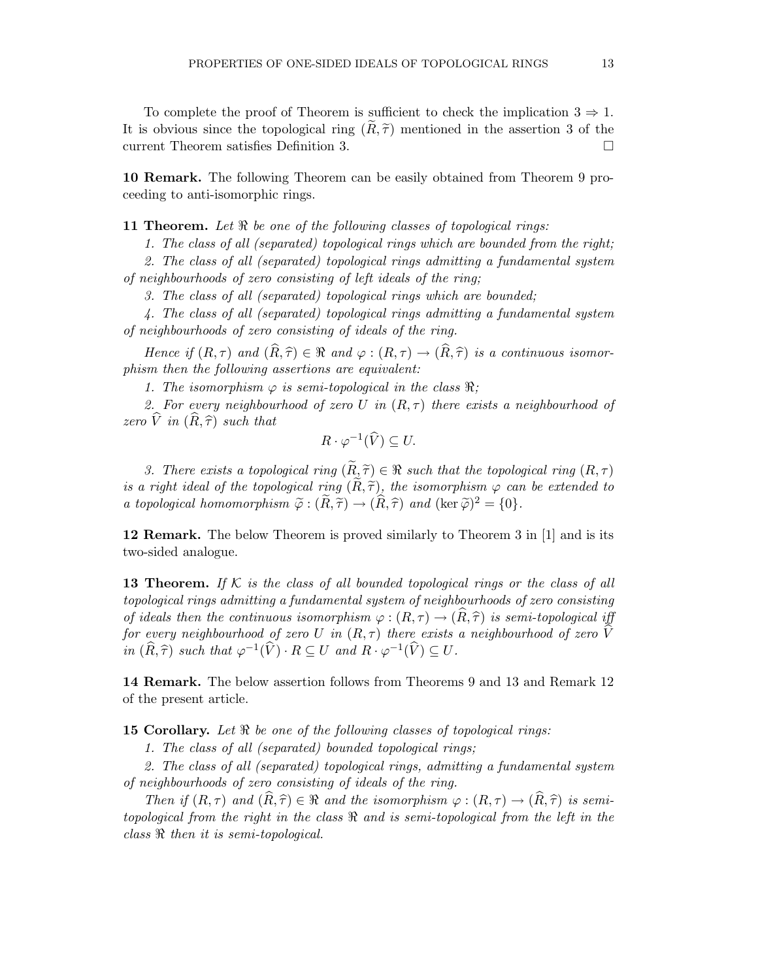To complete the proof of Theorem is sufficient to check the implication  $3 \Rightarrow 1$ . It is obvious since the topological ring  $(R, \tilde{\tau})$  mentioned in the assertion 3 of the current Theorem satisfies Definition 3. current Theorem satisfies Definition 3.

10 Remark. The following Theorem can be easily obtained from Theorem 9 proceeding to anti-isomorphic rings.

**11 Theorem.** Let  $\Re$  be one of the following classes of topological rings:

1. The class of all (separated) topological rings which are bounded from the right;

2. The class of all (separated) topological rings admitting a fundamental system of neighbourhoods of zero consisting of left ideals of the ring;

3. The class of all (separated) topological rings which are bounded;

4. The class of all (separated) topological rings admitting a fundamental system of neighbourhoods of zero consisting of ideals of the ring.

Hence if  $(R, \tau)$  and  $(\widehat{R}, \widehat{\tau}) \in \Re$  and  $\varphi : (R, \tau) \to (\widehat{R}, \widehat{\tau})$  is a continuous isomorphism then the following assertions are equivalent:

1. The isomorphism  $\varphi$  is semi-topological in the class  $\Re$ ;

2. For every neighbourhood of zero U in  $(R, \tau)$  there exists a neighbourhood of zero  $\hat{V}$  in  $(\hat{R}, \hat{\tau})$  such that

$$
R \cdot \varphi^{-1}(\widehat{V}) \subseteq U.
$$

3. There exists a topological ring  $(\widetilde{R}, \widetilde{\tau}) \in \Re$  such that the topological ring  $(R, \tau)$ is a right ideal of the topological ring  $(R, \tilde{\tau})$ , the isomorphism  $\varphi$  can be extended to a topological homomorphism  $\tilde{\varphi}: (\tilde{R}, \tilde{\tau}) \to (\hat{R}, \hat{\tau})$  and  $(\ker \tilde{\varphi})^2 = \{0\}.$ 

12 Remark. The below Theorem is proved similarly to Theorem 3 in [1] and is its two-sided analogue.

**13 Theorem.** If K is the class of all bounded topological rings or the class of all topological rings admitting a fundamental system of neighbourhoods of zero consisting of ideals then the continuous isomorphism  $\varphi : (R, \tau) \to (R, \hat{\tau})$  is semi-topological iff for every neighbourhood of zero U in  $(R, \tau)$  there exists a neighbourhood of zero V in  $(\widehat{R}, \widehat{\tau})$  such that  $\varphi^{-1}(\widehat{V}) \cdot R \subseteq U$  and  $R \cdot \varphi^{-1}(\widehat{V}) \subseteq U$ .

14 Remark. The below assertion follows from Theorems 9 and 13 and Remark 12 of the present article.

**15 Corollary.** Let  $\Re$  be one of the following classes of topological rings:

1. The class of all (separated) bounded topological rings;

2. The class of all (separated) topological rings, admitting a fundamental system of neighbourhoods of zero consisting of ideals of the ring.

Then if  $(R, \tau)$  and  $(R, \hat{\tau}) \in \Re$  and the isomorphism  $\varphi : (R, \tau) \to (R, \hat{\tau})$  is semitopological from the right in the class ℜ and is semi-topological from the left in the class ℜ then it is semi-topological.